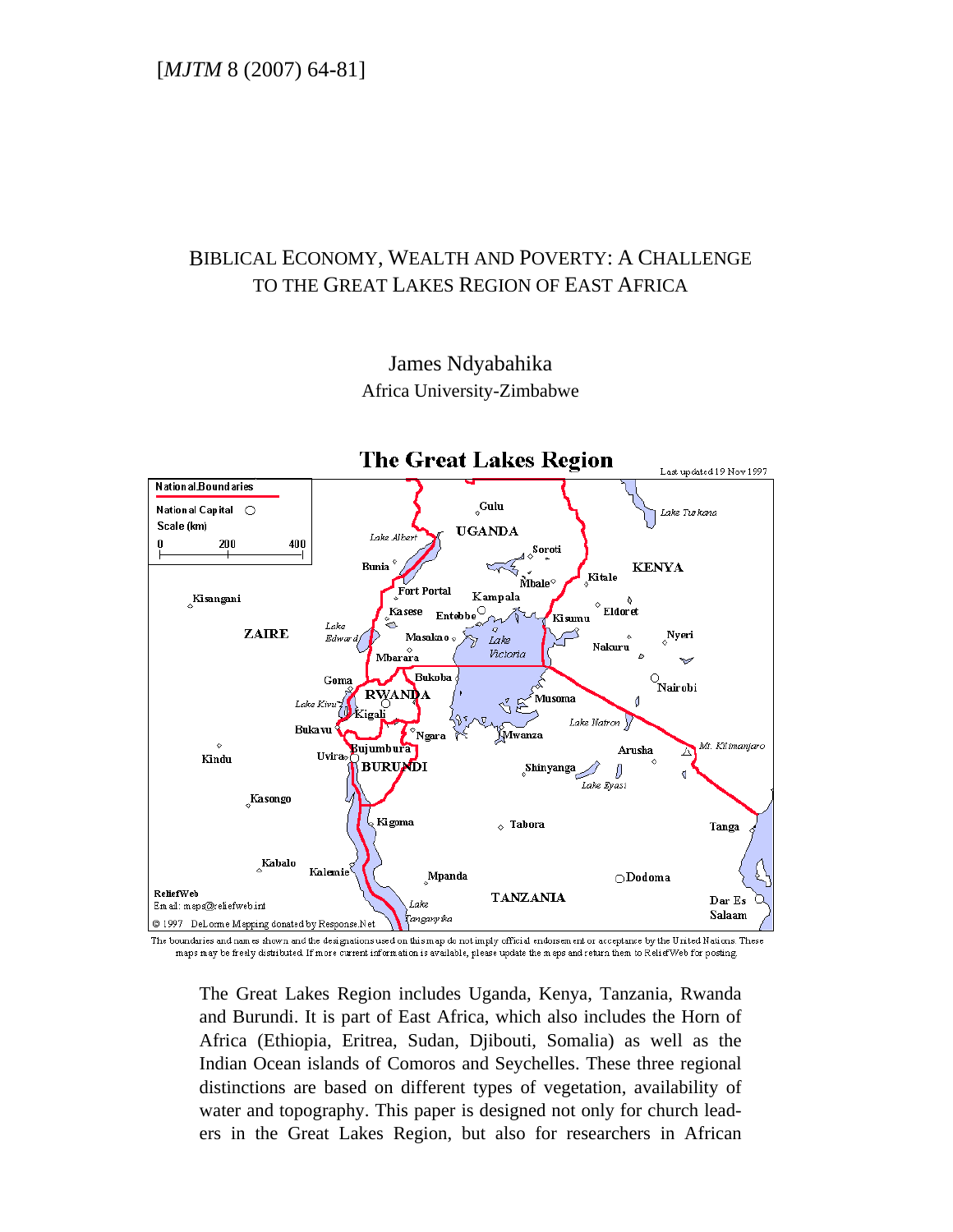# BIBLICAL ECONOMY, WEALTH AND POVERTY: A CHALLENGE TO THE GREAT LAKES REGION OF EAST AFRICA



James Ndyabahika Africa University-Zimbabwe

The boundaries and names shown and the designations used on this map do not imply official endorsement or acceptance by the United Nations. These maps may be freely distributed. If more current information is available, please update the maps and return them to ReliefWeb for posting.

The Great Lakes Region includes Uganda, Kenya, Tanzania, Rwanda and Burundi. It is part of East Africa, which also includes the Horn of Africa (Ethiopia, Eritrea, Sudan, Djibouti, Somalia) as well as the Indian Ocean islands of Comoros and Seychelles. These three regional distinctions are based on different types of vegetation, availability of water and topography. This paper is designed not only for church leaders in the Great Lakes Region, but also for researchers in African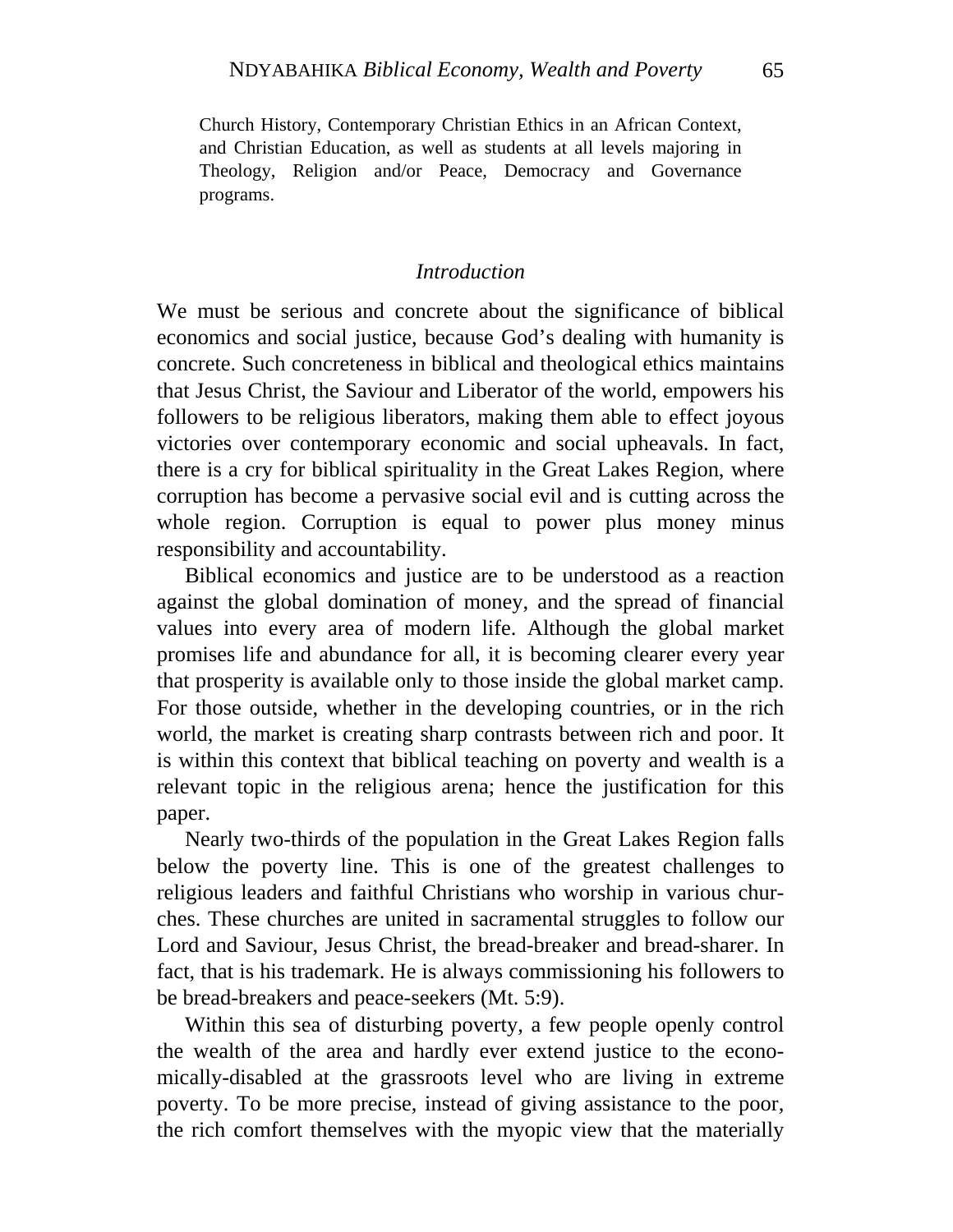Church History, Contemporary Christian Ethics in an African Context, and Christian Education, as well as students at all levels majoring in Theology, Religion and/or Peace, Democracy and Governance programs.

#### *Introduction*

We must be serious and concrete about the significance of biblical economics and social justice, because God's dealing with humanity is concrete. Such concreteness in biblical and theological ethics maintains that Jesus Christ, the Saviour and Liberator of the world, empowers his followers to be religious liberators, making them able to effect joyous victories over contemporary economic and social upheavals. In fact, there is a cry for biblical spirituality in the Great Lakes Region, where corruption has become a pervasive social evil and is cutting across the whole region. Corruption is equal to power plus money minus responsibility and accountability.

Biblical economics and justice are to be understood as a reaction against the global domination of money, and the spread of financial values into every area of modern life. Although the global market promises life and abundance for all, it is becoming clearer every year that prosperity is available only to those inside the global market camp. For those outside, whether in the developing countries, or in the rich world, the market is creating sharp contrasts between rich and poor. It is within this context that biblical teaching on poverty and wealth is a relevant topic in the religious arena; hence the justification for this paper.

Nearly two-thirds of the population in the Great Lakes Region falls below the poverty line. This is one of the greatest challenges to religious leaders and faithful Christians who worship in various churches. These churches are united in sacramental struggles to follow our Lord and Saviour, Jesus Christ, the bread-breaker and bread-sharer. In fact, that is his trademark. He is always commissioning his followers to be bread-breakers and peace-seekers (Mt. 5:9).

Within this sea of disturbing poverty, a few people openly control the wealth of the area and hardly ever extend justice to the economically-disabled at the grassroots level who are living in extreme poverty. To be more precise, instead of giving assistance to the poor, the rich comfort themselves with the myopic view that the materially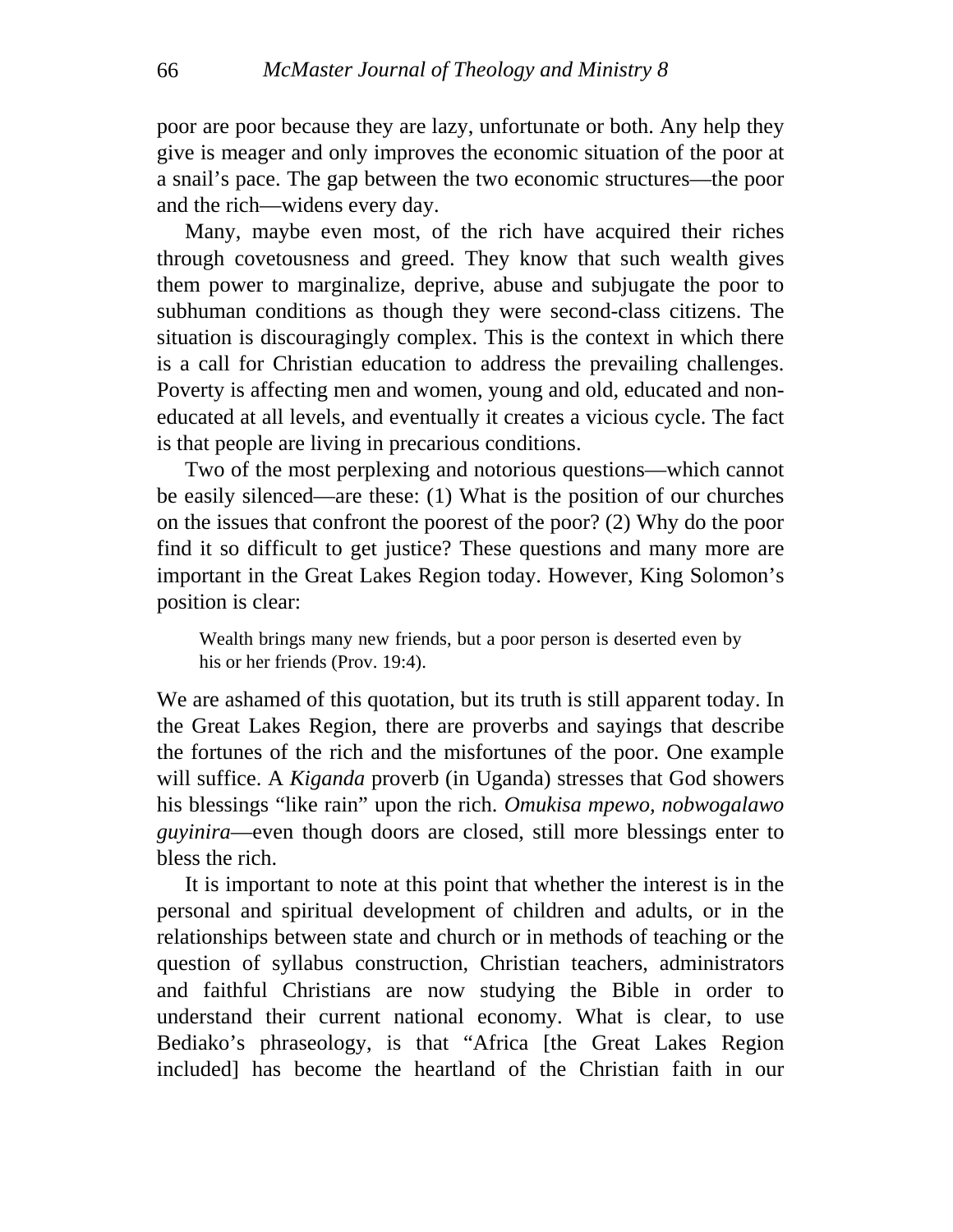poor are poor because they are lazy, unfortunate or both. Any help they give is meager and only improves the economic situation of the poor at a snail's pace. The gap between the two economic structures—the poor and the rich—widens every day.

Many, maybe even most, of the rich have acquired their riches through covetousness and greed. They know that such wealth gives them power to marginalize, deprive, abuse and subjugate the poor to subhuman conditions as though they were second-class citizens. The situation is discouragingly complex. This is the context in which there is a call for Christian education to address the prevailing challenges. Poverty is affecting men and women, young and old, educated and noneducated at all levels, and eventually it creates a vicious cycle. The fact is that people are living in precarious conditions.

Two of the most perplexing and notorious questions—which cannot be easily silenced—are these: (1) What is the position of our churches on the issues that confront the poorest of the poor? (2) Why do the poor find it so difficult to get justice? These questions and many more are important in the Great Lakes Region today. However, King Solomon's position is clear:

Wealth brings many new friends, but a poor person is deserted even by his or her friends (Prov. 19:4).

We are ashamed of this quotation, but its truth is still apparent today. In the Great Lakes Region, there are proverbs and sayings that describe the fortunes of the rich and the misfortunes of the poor. One example will suffice. A *Kiganda* proverb (in Uganda) stresses that God showers his blessings "like rain" upon the rich. *Omukisa mpewo, nobwogalawo guyinira*—even though doors are closed, still more blessings enter to bless the rich.

<span id="page-2-0"></span>It is important to note at this point that whether the interest is in the personal and spiritual development of children and adults, or in the relationships between state and church or in methods of teaching or the question of syllabus construction, Christian teachers, administrators and faithful Christians are now studying the Bible in order to understand their current national economy. What is clear, to use Bediako's phraseology, is that "Africa [the Great Lakes Region included] has become the heartland of the Christian faith in our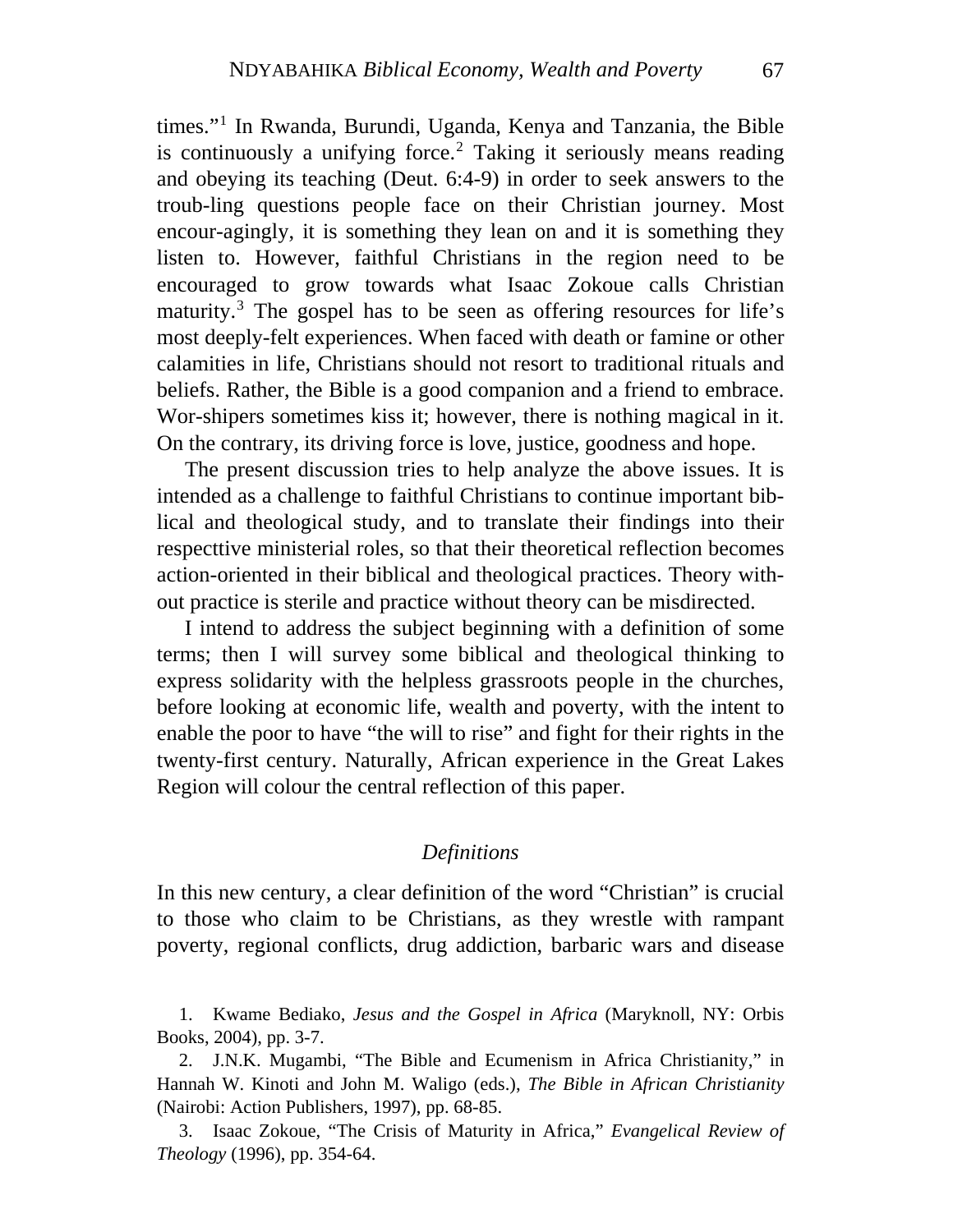On the contrary, its driving force is love, justice, goodness and hope. times."[1](#page-2-0) In Rwanda, Burundi, Uganda, Kenya and Tanzania, the Bible is continuously a unifying force.<sup>[2](#page-3-0)</sup> Taking it seriously means reading and obeying its teaching (Deut. 6:4-9) in order to seek answers to the troub-ling questions people face on their Christian journey. Most encour-agingly, it is something they lean on and it is something they listen to. However, faithful Christians in the region need to be encouraged to grow towards what Isaac Zokoue calls Christian maturity.<sup>[3](#page-3-1)</sup> The gospel has to be seen as offering resources for life's most deeply-felt experiences. When faced with death or famine or other calamities in life, Christians should not resort to traditional rituals and beliefs. Rather, the Bible is a good companion and a friend to embrace. Wor-shipers sometimes kiss it; however, there is nothing magical in it.

The present discussion tries to help analyze the above issues. It is intended as a challenge to faithful Christians to continue important biblical and theological study, and to translate their findings into their respecttive ministerial roles, so that their theoretical reflection becomes action-oriented in their biblical and theological practices. Theory without practice is sterile and practice without theory can be misdirected.

I intend to address the subject beginning with a definition of some terms; then I will survey some biblical and theological thinking to express solidarity with the helpless grassroots people in the churches, before looking at economic life, wealth and poverty, with the intent to enable the poor to have "the will to rise" and fight for their rights in the twenty-first century. Naturally, African experience in the Great Lakes Region will colour the central reflection of this paper.

### *Definitions*

In this new century, a clear definition of the word "Christian" is crucial to those who claim to be Christians, as they wrestle with rampant poverty, regional conflicts, drug addiction, barbaric wars and disease

Books, 2004), pp. 3-7. 1. Kwame Bediako, *Jesus and the Gospel in Africa* (Maryknoll, NY: Orbis

<span id="page-3-0"></span>2. J.N.K. Mugambi, "The Bible and Ecumenism in Africa Christianity," in Hannah W. Kinoti and John M. Waligo (eds.), *The Bible in African Christianity* (Nairobi: Action Publishers, 1997), pp. 68-85.

<span id="page-3-1"></span>3. Isaac Zokoue, "The Crisis of Maturity in Africa," *Evangelical Review of Theology* (1996), pp. 354-64.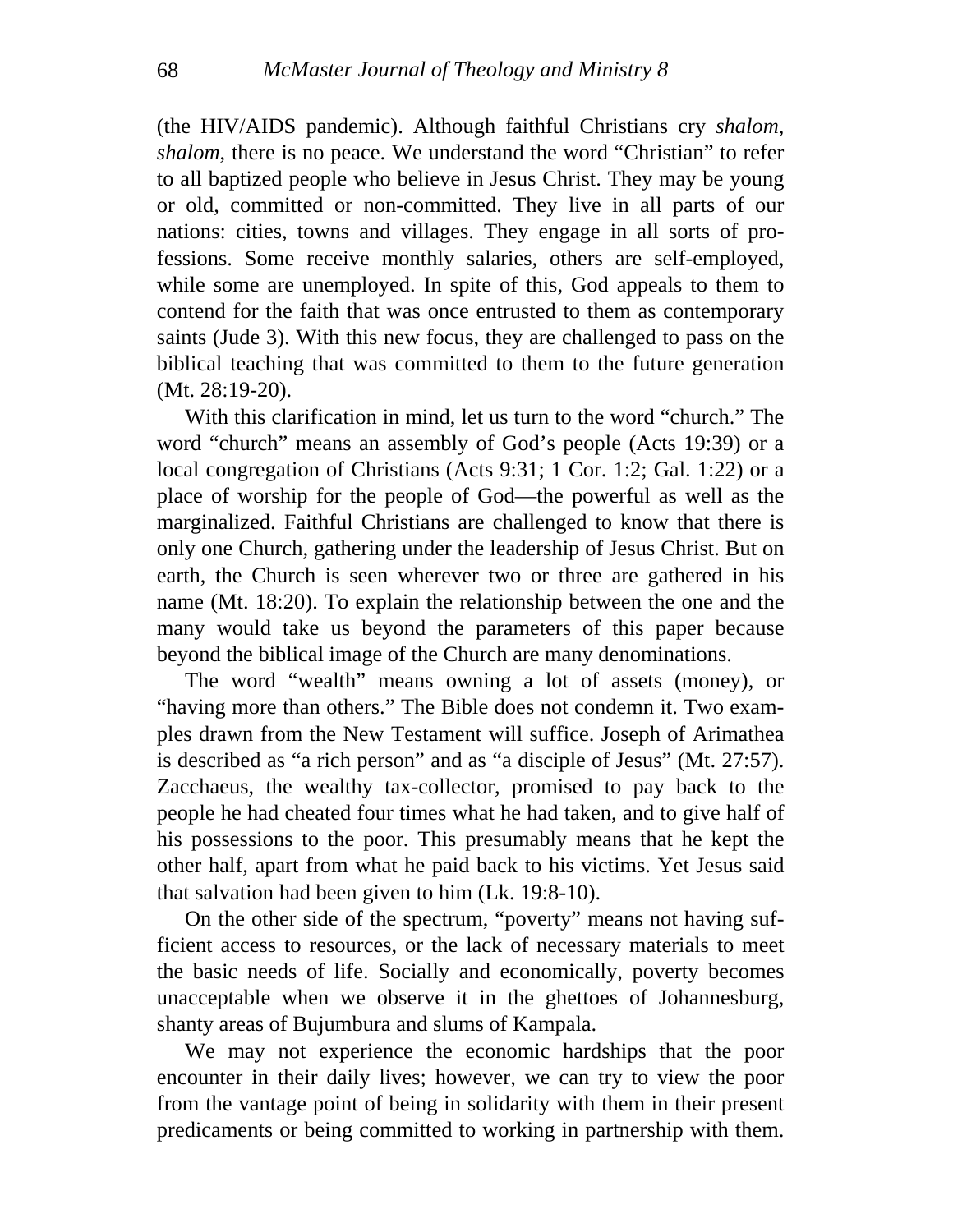saints (Jude 3). With this new focus, they are challenged to pass on the bib lical teaching that was committed to them to the future generation (the HIV/AIDS pandemic). Although faithful Christians cry *shalom, shalom*, there is no peace. We understand the word "Christian" to refer to all baptized people who believe in Jesus Christ. They may be young or old, committed or non-committed. They live in all parts of our nations: cities, towns and villages. They engage in all sorts of professions. Some receive monthly salaries, others are self-employed, while some are unemployed. In spite of this, God appeals to them to contend for the faith that was once entrusted to them as contemporary (Mt. 28:19-20).

name (Mt. 18:20). To explain the relationship between the one and the ma ny would take us beyond the parameters of this paper because With this clarification in mind, let us turn to the word "church." The word "church" means an assembly of God's people (Acts 19:39) or a local congregation of Christians (Acts 9:31; 1 Cor. 1:2; Gal. 1:22) or a place of worship for the people of God—the powerful as well as the marginalized. Faithful Christians are challenged to know that there is only one Church, gathering under the leadership of Jesus Christ. But on earth, the Church is seen wherever two or three are gathered in his beyond the biblical image of the Church are many denominations.

his possessions to the poor. This presumably means that he kept the oth er half, apart from what he paid back to his victims. Yet Jesus said The word "wealth" means owning a lot of assets (money), or "having more than others." The Bible does not condemn it. Two examples drawn from the New Testament will suffice. Joseph of Arimathea is described as "a rich person" and as "a disciple of Jesus" (Mt. 27:57). Zacchaeus, the wealthy tax-collector, promised to pay back to the people he had cheated four times what he had taken, and to give half of that salvation had been given to him (Lk. 19:8-10).

the basic needs of life. Socially and economically, poverty becomes una cceptable when we observe it in the ghettoes of Johannesburg, On the other side of the spectrum, "poverty" means not having sufficient access to resources, or the lack of necessary materials to meet shanty areas of Bujumbura and slums of Kampala.

We may not experience the economic hardships that the poor encounter in their daily lives; however, we can try to view the poor from the vantage point of being in solidarity with them in their present predicaments or being committed to working in partnership with them.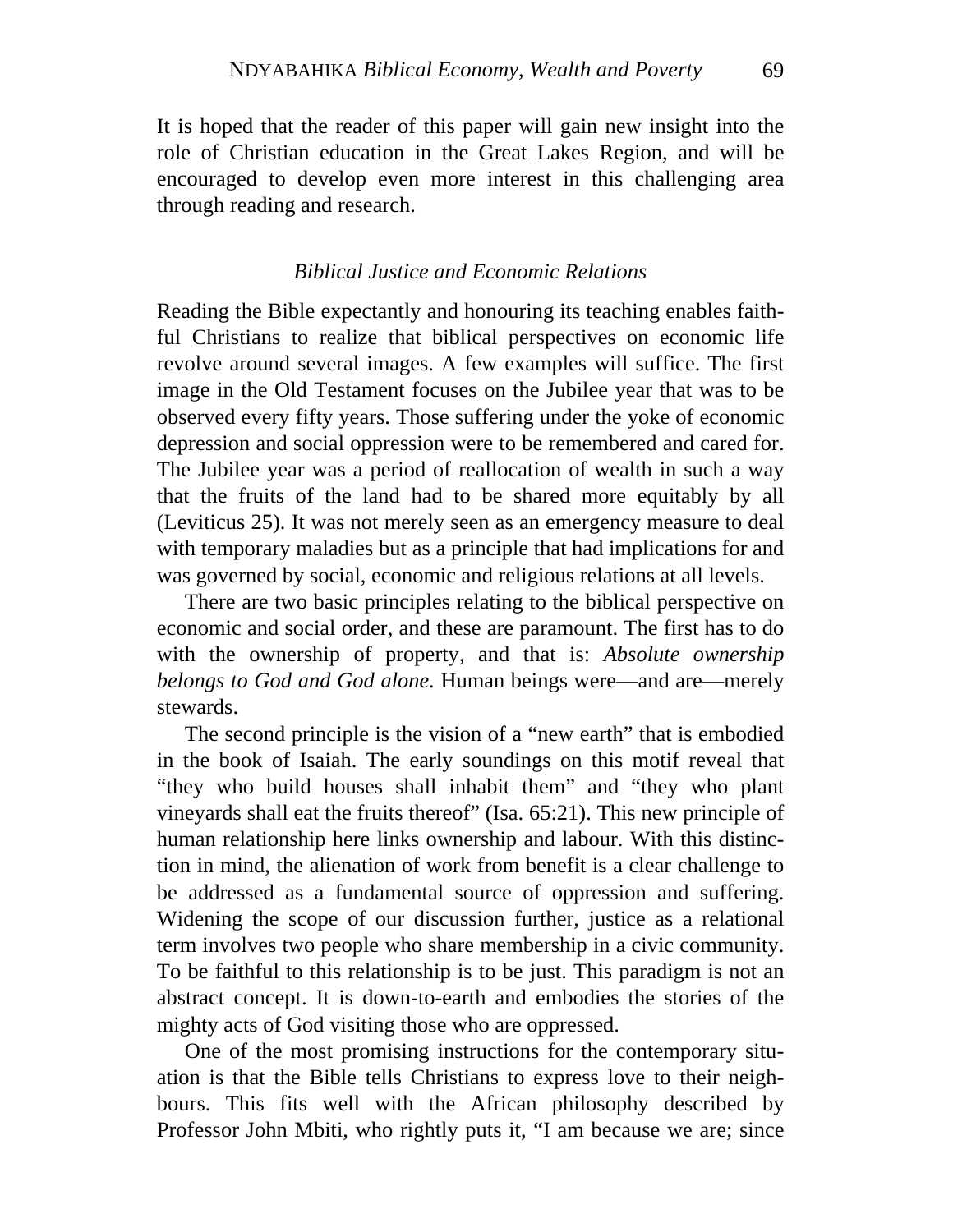role of Christian education in the Great Lakes Region, and will be encouraged to develop even more interest in this challenging area through reading and research. It is hoped that the reader of this paper will gain new insight into the

### *Biblical Justice and Economic Relations*

(Leviticus 25). It was not merely seen as an emergency measure to deal wit h temporary maladies but as a principle that had implications for and Reading the Bible expectantly and honouring its teaching enables faithful Christians to realize that biblical perspectives on economic life revolve around several images. A few examples will suffice. The first image in the Old Testament focuses on the Jubilee year that was to be observed every fifty years. Those suffering under the yoke of economic depression and social oppression were to be remembered and cared for. The Jubilee year was a period of reallocation of wealth in such a way that the fruits of the land had to be shared more equitably by all was governed by social, economic and religious relations at all levels.

with the ownership of property, and that is: *Absolute ownership bel ongs to God and God alone.* Human beings were—and are—merely There are two basic principles relating to the biblical perspective on economic and social order, and these are paramount. The first has to do stewards.

To be faithful to this relationship is to be just. This paradigm is not an abs tract concept. It is down-to-earth and embodies the stories of the The second principle is the vision of a "new earth" that is embodied in the book of Isaiah. The early soundings on this motif reveal that "they who build houses shall inhabit them" and "they who plant vineyards shall eat the fruits thereof" (Isa. 65:21). This new principle of human relationship here links ownership and labour. With this distinction in mind, the alienation of work from benefit is a clear challenge to be addressed as a fundamental source of oppression and suffering. Widening the scope of our discussion further, justice as a relational term involves two people who share membership in a civic community. mighty acts of God visiting those who are oppressed.

bours. This fits well with the African philosophy described by Professor John Mbiti, who rightly puts it, "I am because we are; since One of the most promising instructions for the contemporary situation is that the Bible tells Christians to express love to their neigh-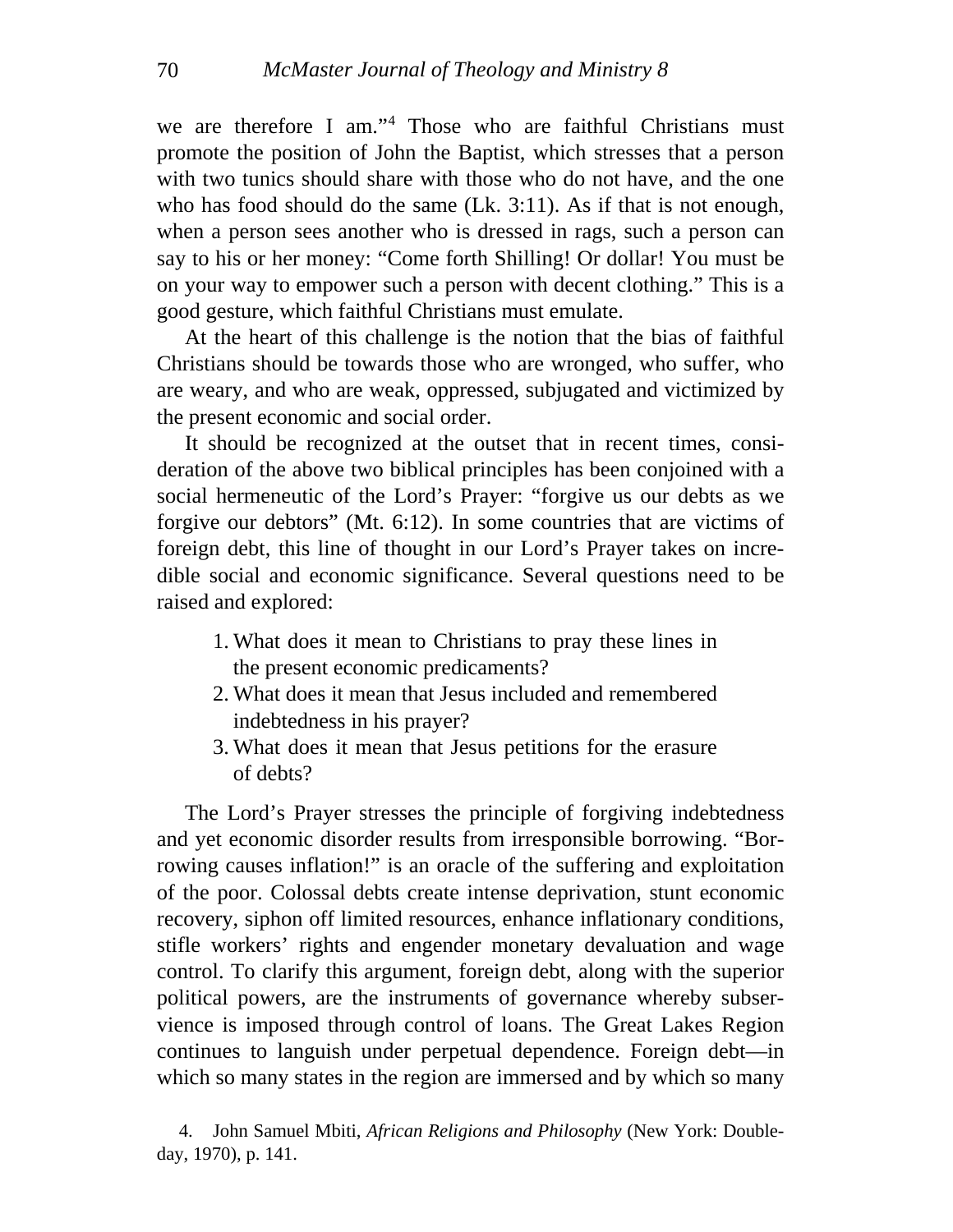we are therefore I am."[4](#page-6-0) Those who are faithful Christians must promote the position of John the Baptist, which stresses that a person with two tunics should share with those who do not have, and the one who has food should do the same (Lk. 3:11). As if that is not enough, when a person sees another who is dressed in rags, such a person can say to his or her money: "Come forth Shilling! Or dollar! You must be on your way to empower such a person with decent clothing." This is a good gesture, which faithful Christians must emulate.

At the heart of this challenge is the notion that the bias of faithful Christians should be towards those who are wronged, who suffer, who are weary, and who are weak, oppressed, subjugated and victimized by the present economic and social order.

It should be recognized at the outset that in recent times, consideration of the above two biblical principles has been conjoined with a social hermeneutic of the Lord's Prayer: "forgive us our debts as we forgive our debtors" (Mt. 6:12). In some countries that are victims of foreign debt, this line of thought in our Lord's Prayer takes on incredible social and economic significance. Several questions need to be raised and explored:

- 1. What does it mean to Christians to pray these lines in the present economic predicaments?
- 2. What does it mean that Jesus included and remembered indebtedness in his prayer?
- 3. What does it mean that Jesus petitions for the erasure of debts?

The Lord's Prayer stresses the principle of forgiving indebtedness and yet economic disorder results from irresponsible borrowing. "Borrowing causes inflation!" is an oracle of the suffering and exploitation of the poor. Colossal debts create intense deprivation, stunt economic recovery, siphon off limited resources, enhance inflationary conditions, stifle workers' rights and engender monetary devaluation and wage control. To clarify this argument, foreign debt, along with the superior political powers, are the instruments of governance whereby subservience is imposed through control of loans. The Great Lakes Region continues to languish under perpetual dependence. Foreign debt—in which so many states in the region are immersed and by which so many

<span id="page-6-0"></span><sup>4.</sup> John Samuel Mbiti, *African Religions and Philosophy* (New York: Doubleday, 1970), p. 141.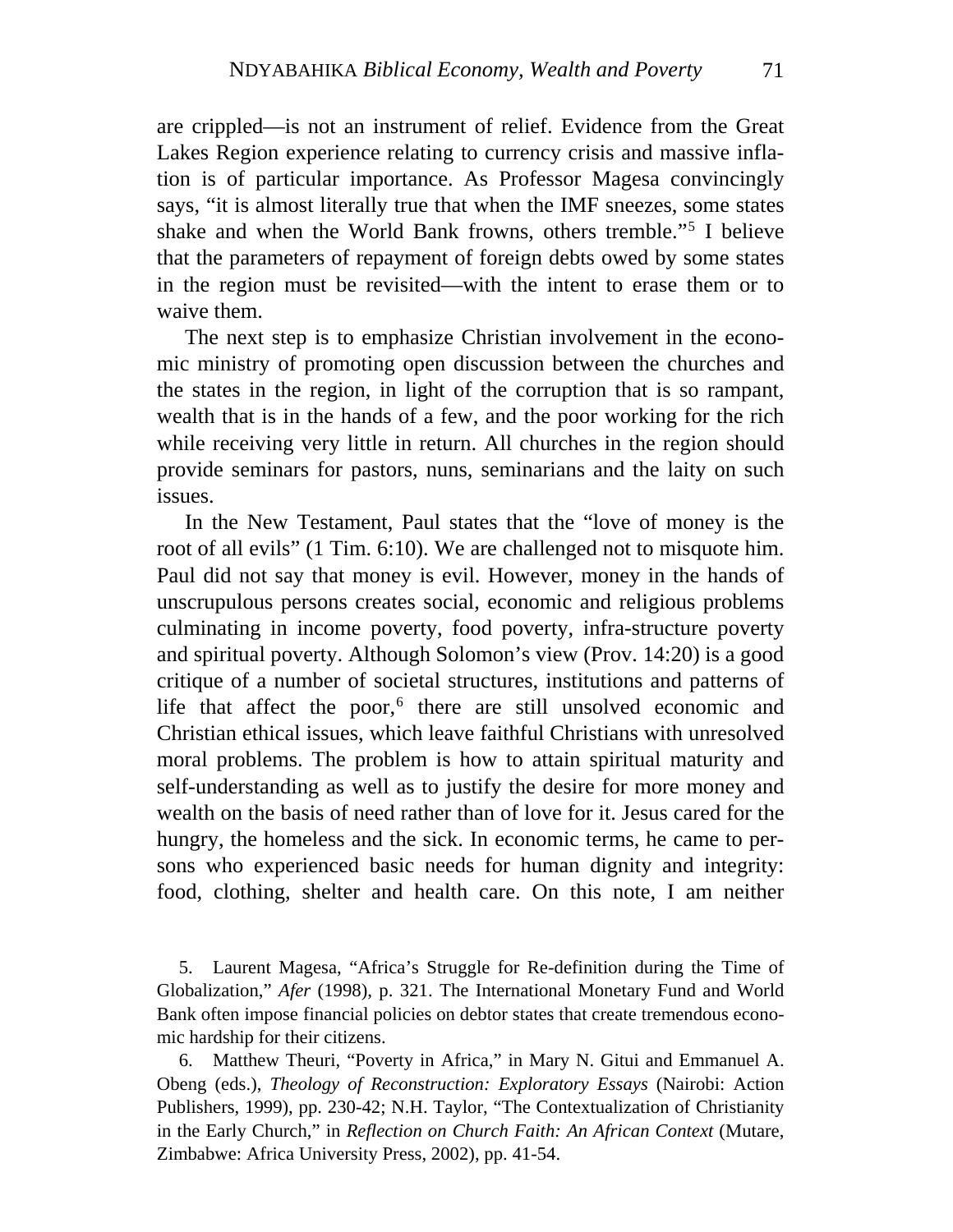waive them. are crippled—is not an instrument of relief. Evidence from the Great Lakes Region experience relating to currency crisis and massive inflation is of particular importance. As Professor Magesa convincingly says, "it is almost literally true that when the IMF sneezes, some states shake and when the World Bank frowns, others tremble."[5](#page-7-0) I believe that the parameters of repayment of foreign debts owed by some states in the region must be revisited—with the intent to erase them or to

The next step is to emphasize Christian involvement in the economic ministry of promoting open discussion between the churches and the states in the region, in light of the corruption that is so rampant, wealth that is in the hands of a few, and the poor working for the rich while receiving very little in return. All churches in the region should provide seminars for pastors, nuns, seminarians and the laity on such issues.

In the New Testament, Paul states that the "love of money is the root of all evils" (1 Tim. 6:10). We are challenged not to misquote him. Paul did not say that money is evil. However, money in the hands of unscrupulous persons creates social, economic and religious problems culminating in income poverty, food poverty, infra-structure poverty and spiritual poverty. Although Solomon's view (Prov. 14:20) is a good critique of a number of societal structures, institutions and patterns of life that affect the poor,<sup>[6](#page-7-1)</sup> there are still unsolved economic and Christian ethical issues, which leave faithful Christians with unresolved moral problems. The problem is how to attain spiritual maturity and self-understanding as well as to justify the desire for more money and wealth on the basis of need rather than of love for it. Jesus cared for the hungry, the homeless and the sick. In economic terms, he came to persons who experienced basic needs for human dignity and integrity: food, clothing, shelter and health care. On this note, I am neither

<span id="page-7-0"></span>5. Laurent Magesa, "Africa's Struggle for Re-definition during the Time of Globalization," *Afer* (1998), p. 321. The International Monetary Fund and World Bank often impose financial policies on debtor states that create tremendous economic hardship for their citizens.

<span id="page-7-1"></span>6. Matthew Theuri, "Poverty in Africa," in Mary N. Gitui and Emmanuel A. Obeng (eds.), *Theology of Reconstruction: Exploratory Essays* (Nairobi: Action Publishers, 1999), pp. 230-42; N.H. Taylor, "The Contextualization of Christianity in the Early Church," in *Reflection on Church Faith: An African Context* (Mutare, Zimbabwe: Africa University Press, 2002), pp. 41-54.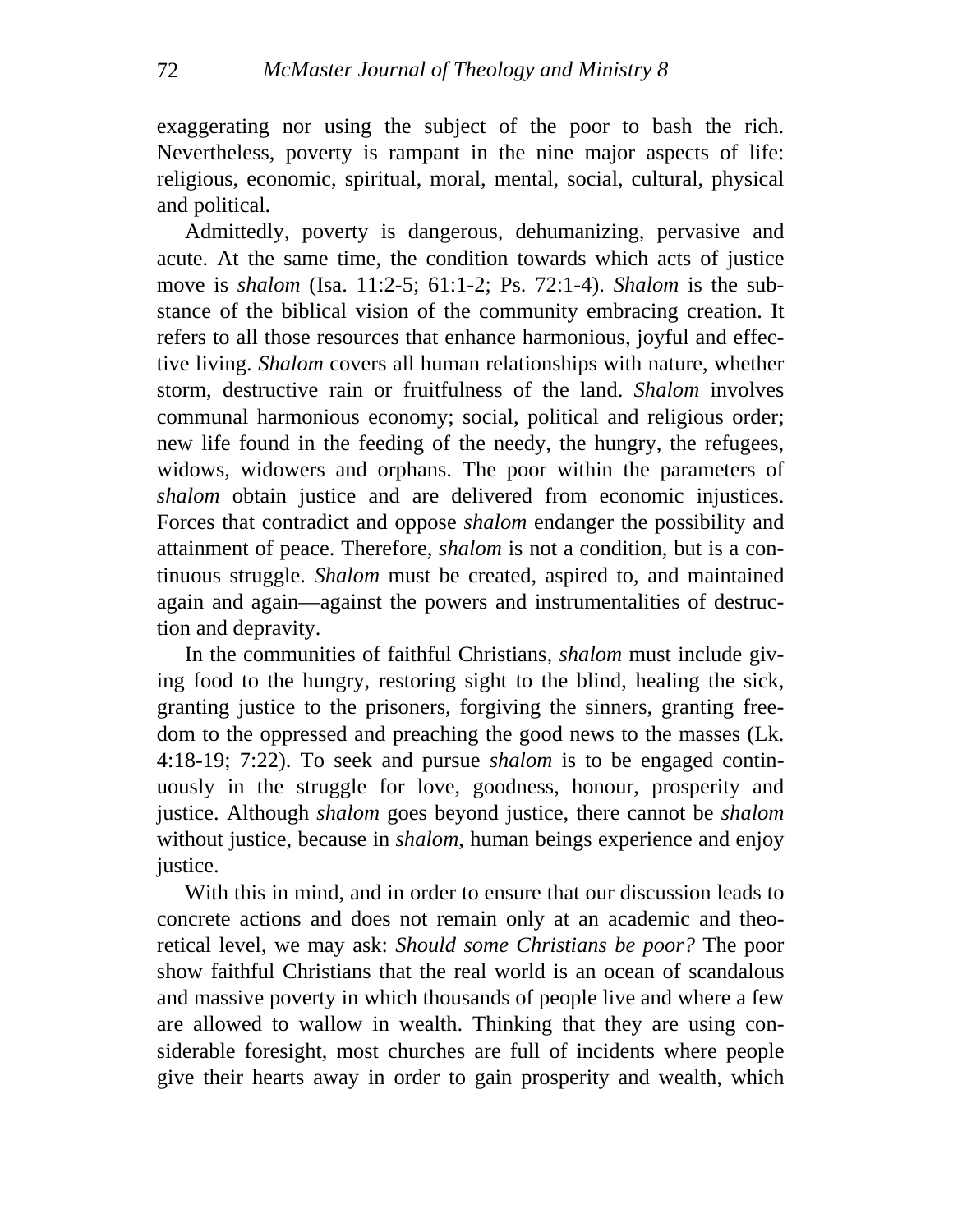exaggerating nor using the subject of the poor to bash the rich. Nevertheless, poverty is rampant in the nine major aspects of life: religious, economic, spiritual, moral, mental, social, cultural, physical and political.

Admittedly, poverty is dangerous, dehumanizing, pervasive and acute. At the same time, the condition towards which acts of justice move is *shalom* (Isa. 11:2-5; 61:1-2; Ps. 72:1-4). *Shalom* is the substance of the biblical vision of the community embracing creation. It refers to all those resources that enhance harmonious, joyful and effective living. *Shalom* covers all human relationships with nature, whether storm, destructive rain or fruitfulness of the land. *Shalom* involves communal harmonious economy; social, political and religious order; new life found in the feeding of the needy, the hungry, the refugees, widows, widowers and orphans. The poor within the parameters of *shalom* obtain justice and are delivered from economic injustices. Forces that contradict and oppose *shalom* endanger the possibility and attainment of peace. Therefore, *shalom* is not a condition, but is a continuous struggle. *Shalom* must be created, aspired to, and maintained again and again—against the powers and instrumentalities of destruction and depravity.

In the communities of faithful Christians, *shalom* must include giving food to the hungry, restoring sight to the blind, healing the sick, granting justice to the prisoners, forgiving the sinners, granting freedom to the oppressed and preaching the good news to the masses (Lk. 4:18-19; 7:22). To seek and pursue *shalom* is to be engaged continuously in the struggle for love, goodness, honour, prosperity and justice. Although *shalom* goes beyond justice, there cannot be *shalom* without justice, because in *shalom*, human beings experience and enjoy justice.

With this in mind, and in order to ensure that our discussion leads to concrete actions and does not remain only at an academic and theoretical level, we may ask: *Should some Christians be poor?* The poor show faithful Christians that the real world is an ocean of scandalous and massive poverty in which thousands of people live and where a few are allowed to wallow in wealth. Thinking that they are using considerable foresight, most churches are full of incidents where people give their hearts away in order to gain prosperity and wealth, which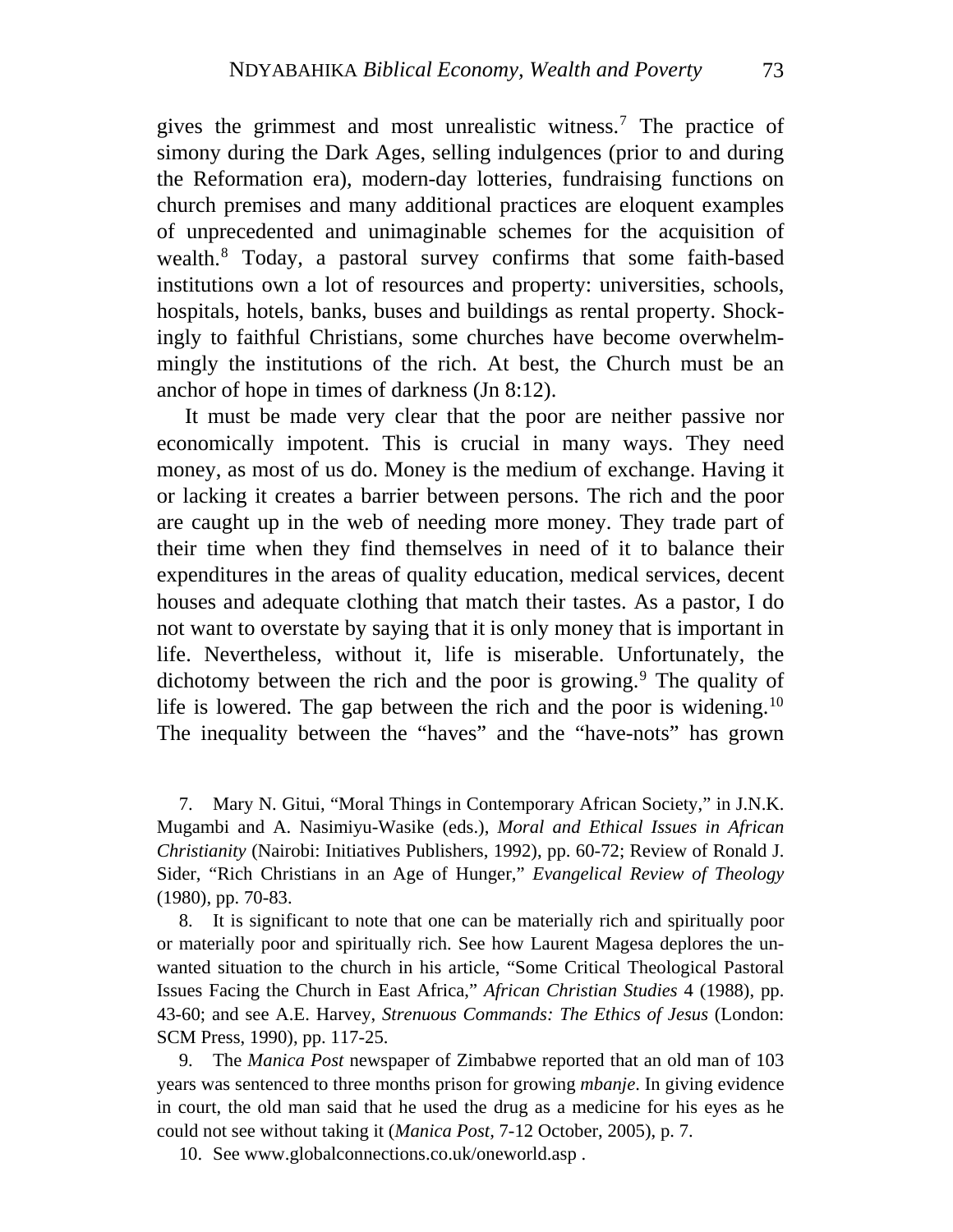gives the grimmest and most unrealistic witness.[7](#page-9-0) The practice of simony during the Dark Ages, selling indulgences (prior to and during the Reformation era), modern-day lotteries, fundraising functions on church premises and many additional practices are eloquent examples of unprecedented and unimaginable schemes for the acquisition of wealth.[8](#page-9-1) Today, a pastoral survey confirms that some faith-based institutions own a lot of resources and property: universities, schools, hospitals, hotels, banks, buses and buildings as rental property. Shockingly to faithful Christians, some churches have become overwhelmmingly the institutions of the rich. At best, the Church must be an anchor of hope in times of darkness (Jn 8:12).

It must be made very clear that the poor are neither passive nor economically impotent. This is crucial in many ways. They need money, as most of us do. Money is the medium of exchange. Having it or lacking it creates a barrier between persons. The rich and the poor are caught up in the web of needing more money. They trade part of their time when they find themselves in need of it to balance their expenditures in the areas of quality education, medical services, decent houses and adequate clothing that match their tastes. As a pastor, I do not want to overstate by saying that it is only money that is important in life. Nevertheless, without it, life is miserable. Unfortunately, the dichotomy between the rich and the poor is growing.<sup>[9](#page-9-2)</sup> The quality of life is lowered. The gap between the rich and the poor is widening.<sup>[10](#page-9-3)</sup> The inequality between the "haves" and the "have-nots" has grown

<span id="page-9-0"></span>7. Mary N. Gitui, "Moral Things in Contemporary African Society," in J.N.K. Mugambi and A. Nasimiyu-Wasike (eds.), *Moral and Ethical Issues in African Christianity* (Nairobi: Initiatives Publishers, 1992), pp. 60-72; Review of Ronald J. Sider, "Rich Christians in an Age of Hunger," *Evangelical Review of Theology* (1980), pp. 70-83.

<span id="page-9-1"></span>8. It is significant to note that one can be materially rich and spiritually poor or materially poor and spiritually rich. See how Laurent Magesa deplores the unwanted situation to the church in his article, "Some Critical Theological Pastoral Issues Facing the Church in East Africa," *African Christian Studies* 4 (1988), pp. 43-60; and see A.E. Harvey, *Strenuous Commands: The Ethics of Jesus* (London: SCM Press, 1990), pp. 117-25.

<span id="page-9-2"></span>9. The *Manica Post* newspaper of Zimbabwe reported that an old man of 103 years was sentenced to three months prison for growing *mbanje*. In giving evidence in court, the old man said that he used the drug as a medicine for his eyes as he could not see without taking it (*Manica Post,* 7-12 October, 2005), p. 7.

<span id="page-9-3"></span>10. See [www.globalconnections.co.uk/oneworld.asp](http://www.globalconnections.co.uk/oneworld.asp) .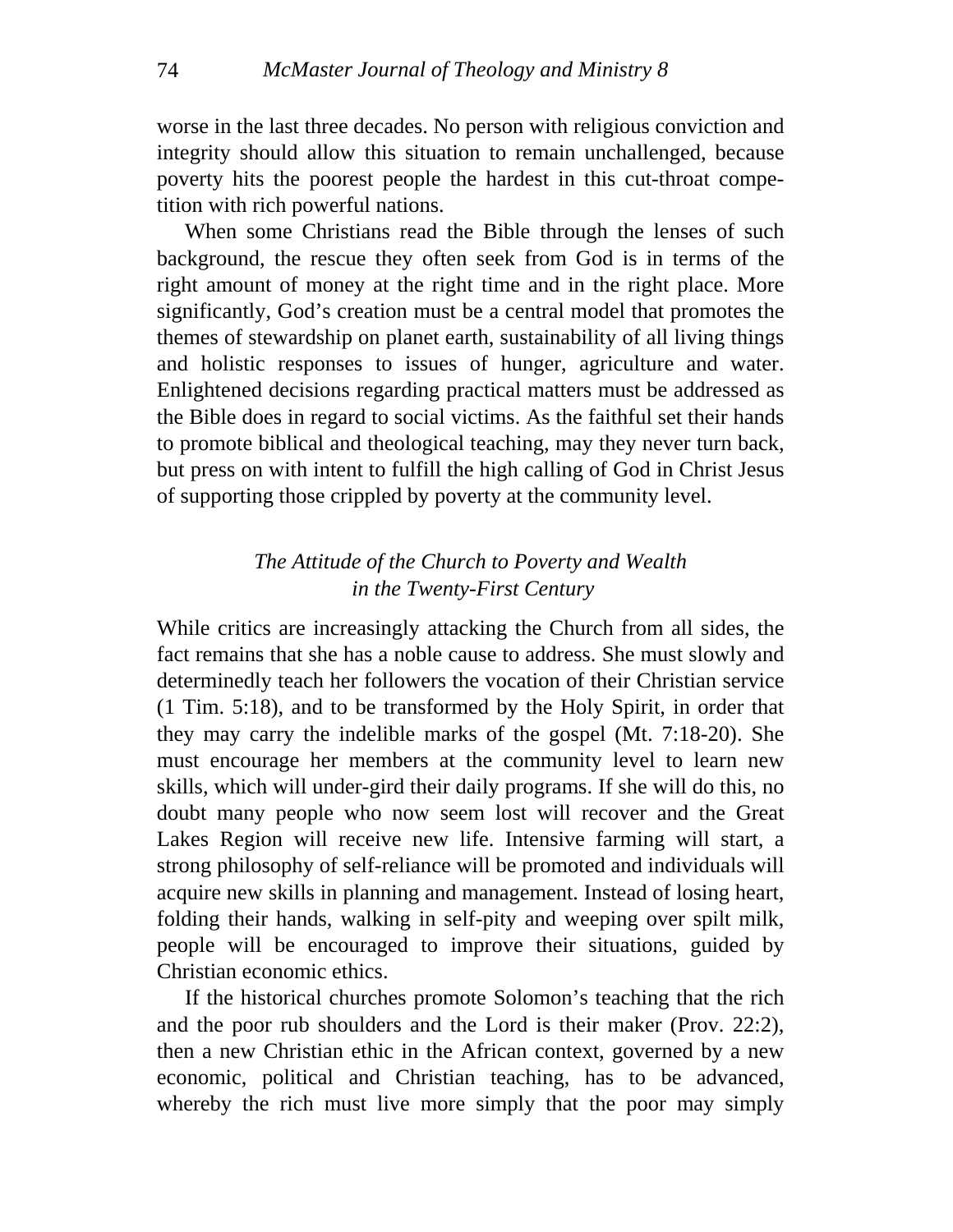worse in the last three decades. No person with religious conviction and integrity should allow this situation to remain unchallenged, because poverty hits the poorest people the hardest in this cut-throat competition with rich powerful nations.

When some Christians read the Bible through the lenses of such background, the rescue they often seek from God is in terms of the right amount of money at the right time and in the right place. More significantly, God's creation must be a central model that promotes the themes of stewardship on planet earth, sustainability of all living things and holistic responses to issues of hunger, agriculture and water. Enlightened decisions regarding practical matters must be addressed as the Bible does in regard to social victims. As the faithful set their hands to promote biblical and theological teaching, may they never turn back, but press on with intent to fulfill the high calling of God in Christ Jesus of supporting those crippled by poverty at the community level.

## *The Attitude of the Church to Poverty and Wealth in the Twenty-First Century*

While critics are increasingly attacking the Church from all sides, the fact remains that she has a noble cause to address. She must slowly and determinedly teach her followers the vocation of their Christian service (1 Tim. 5:18), and to be transformed by the Holy Spirit, in order that they may carry the indelible marks of the gospel (Mt. 7:18-20). She must encourage her members at the community level to learn new skills, which will under-gird their daily programs. If she will do this, no doubt many people who now seem lost will recover and the Great Lakes Region will receive new life. Intensive farming will start*,* a strong philosophy of self-reliance will be promoted and individuals will acquire new skills in planning and management. Instead of losing heart, folding their hands, walking in self-pity and weeping over spilt milk, people will be encouraged to improve their situations, guided by Christian economic ethics.

whereby the rich must live more simply that the poor may simply If the historical churches promote Solomon's teaching that the rich and the poor rub shoulders and the Lord is their maker (Prov. 22:2), then a new Christian ethic in the African context, governed by a new economic, political and Christian teaching, has to be advanced,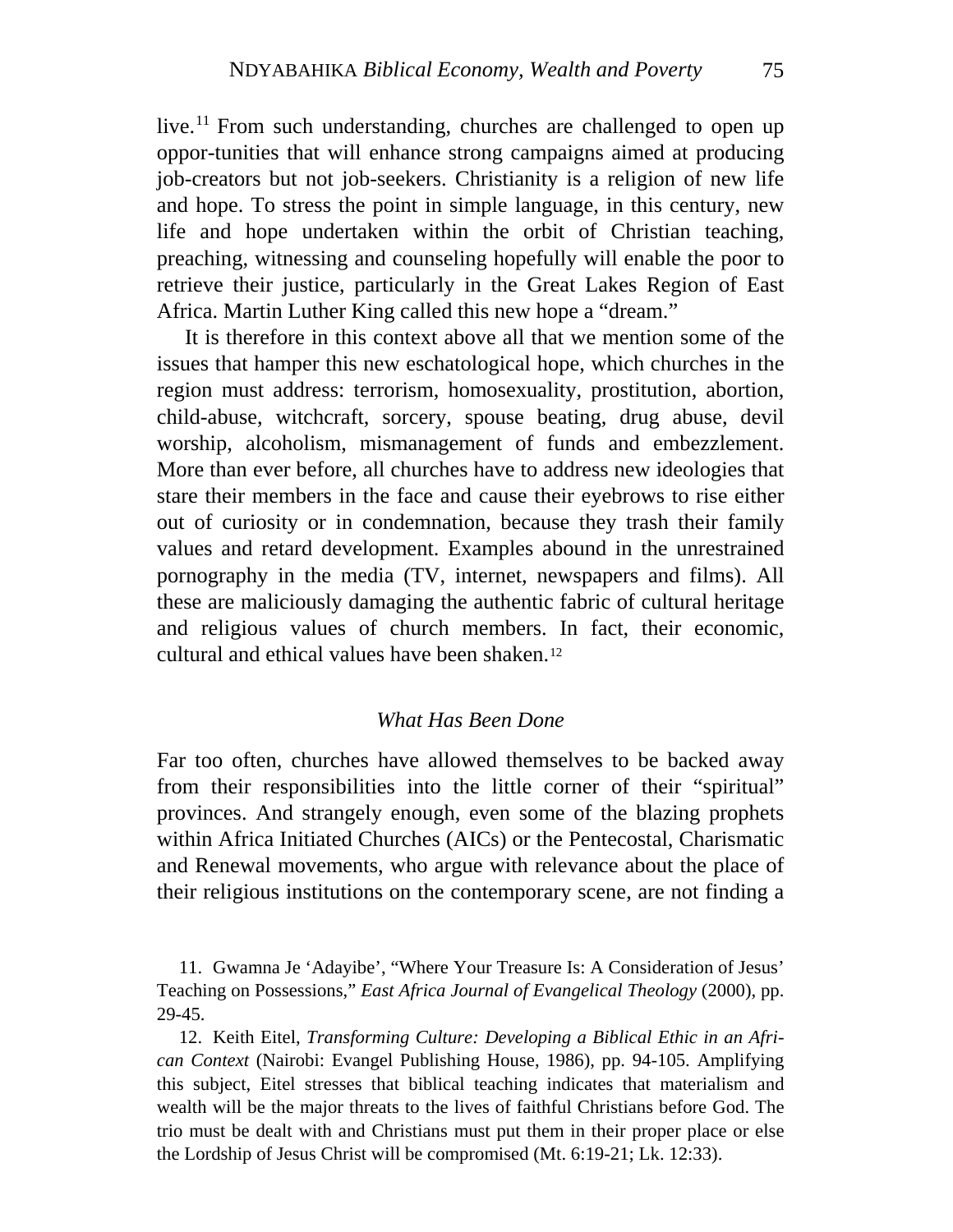live.<sup>[11](#page-11-0)</sup> From such understanding, churches are challenged to open up oppor-tunities that will enhance strong campaigns aimed at producing job-creators but not job-seekers. Christianity is a religion of new life and hope. To stress the point in simple language, in this century, new life and hope undertaken within the orbit of Christian teaching, preaching, witnessing and counseling hopefully will enable the poor to retrieve their justice, particularly in the Great Lakes Region of East Africa. Martin Luther King called this new hope a "dream."

It is therefore in this context above all that we mention some of the iss ues that hamper this new eschatological hope, which churches in the region must address: terrorism, homosexuality, prostitution, abortion, child-abuse, witchcraft, sorcery, spouse beating, drug abuse, devil worship, alcoholism, mismanagement of funds and embezzlement. More than ever before, all churches have to address new ideologies that stare their members in the face and cause their eyebrows to rise either out of curiosity or in condemnation, because they trash their family values and retard development. Examples abound in the unrestrained pornography in the media (TV, internet, newspapers and films). All these are maliciously damaging the authentic fabric of cultural heritage and religious values of church members. In fact, their economic, cultural and ethical values have been shaken.[12](#page-11-1)

### *What Has Been Done*

Far too often, churches have allowed themselves to be backed away from their responsibilities into the little corner of their "spiritual" provinces. And strangely enough, even some of the blazing prophets within Africa Initiated Churches (AICs) or the Pentecostal, Charismatic and Renewal movements, who argue with relevance about the place of their religious institutions on the contemporary scene, are not finding a

<span id="page-11-0"></span>11. Gwamna Je 'Adayibe', "Where Your Treasure Is: A Consideration of Jesus' Teaching on Possessions," *East Africa Journal of Evangelical Theology* (2000), pp. 29-45.

<span id="page-11-1"></span>12. Keith Eitel, *Transforming Culture: Developing a Biblical Ethic in an African Context* (Nairobi: Evangel Publishing House, 1986), pp. 94-105. Amplifying this subject, Eitel stresses that biblical teaching indicates that materialism and wealth will be the major threats to the lives of faithful Christians before God. The trio must be dealt with and Christians must put them in their proper place or else the Lordship of Jesus Christ will be compromised (Mt. 6:19-21; Lk. 12:33).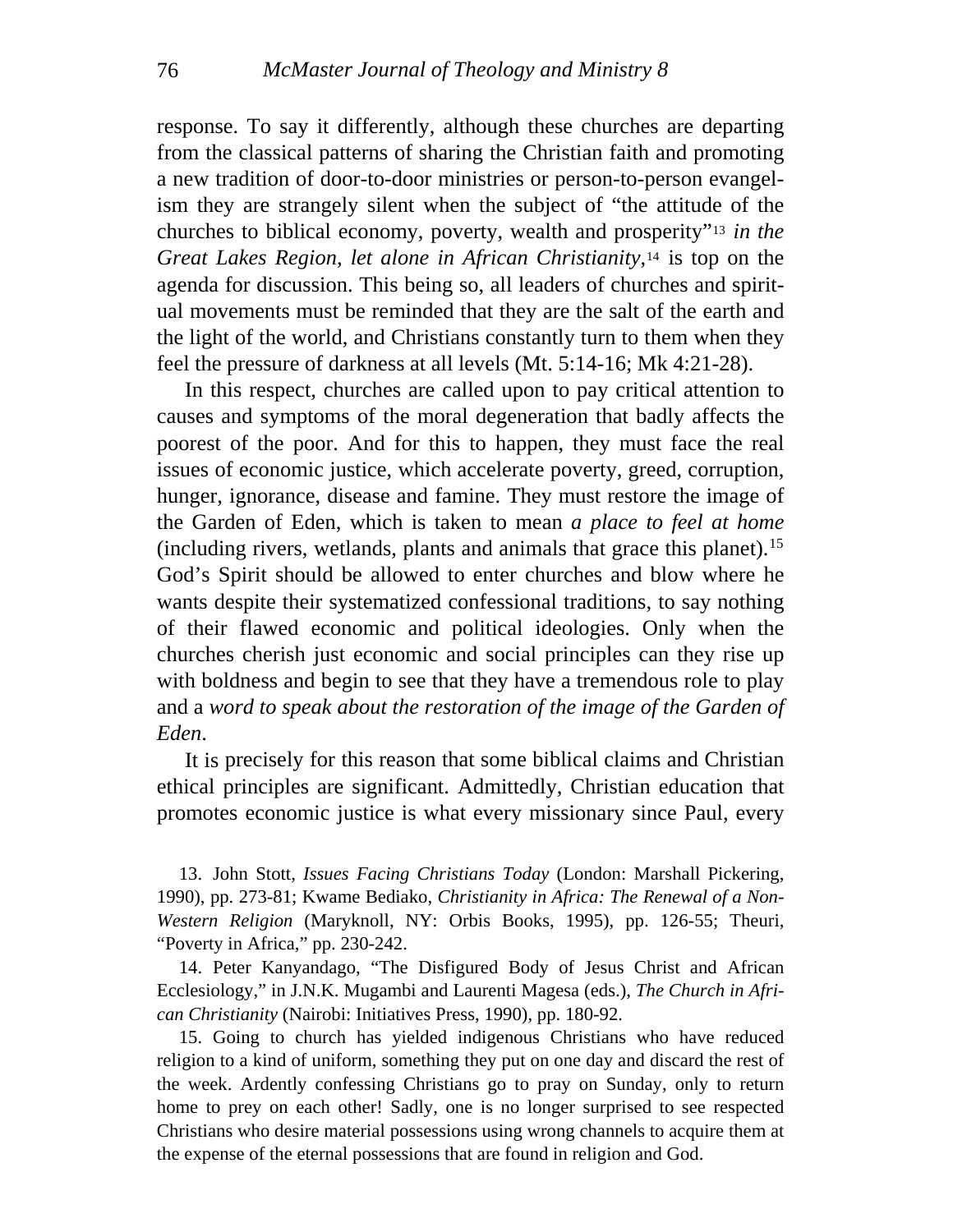response. To say it differently, although these churches are departing from the classical patterns of sharing the Christian faith and promoting a new tradition of door-to-door ministries or person-to-person evangelism they are strangely silent when the subject of "the attitude of the churches to biblical economy, poverty, wealth and prosperity"[13](#page-12-0) *in the Great Lakes Region, let alone in African Christianity*,[14](#page-12-1) is top on the agenda for discussion. This being so, all leaders of churches and spiritual movements must be reminded that they are the salt of the earth and the light of the world, and Christians constantly turn to them when they feel the pressure of darkness at all levels (Mt. 5:14-16; Mk 4:21-28).

In this respect, churches are called upon to pay critical attention to cau ses and symptoms of the moral degeneration that badly affects the poorest of the poor. And for this to happen, they must face the real issues of economic justice, which accelerate poverty, greed, corruption, hunger, ignorance, disease and famine. They must restore the image of the Garden of Eden, which is taken to mean *a place to feel at home* (including rivers, wetlands, plants and animals that grace this planet).[15](#page-12-2) God's Spirit should be allowed to enter churches and blow where he wants despite their systematized confessional traditions, to say nothing of their flawed economic and political ideologies. Only when the churches cherish just economic and social principles can they rise up with boldness and begin to see that they have a tremendous role to play and a *word to speak about the restoration of the image of the Garden of Eden*.

It is precisely for this reason that some biblical claims and Christian eth ical principles are significant. Admittedly, Christian education that promotes economic justice is what every missionary since Paul, every

<span id="page-12-0"></span>13. John Stott, *Issues Facing Christians Today* (London: Marshall Pickering, 1990), pp. 273-81; Kwame Bediako, *Christianity in Africa: The Renewal of a Non-Western Religion* (Maryknoll, NY: Orbis Books, 1995), pp. 126-55; Theuri, "Poverty in Africa," pp. 230-242.

<span id="page-12-1"></span>14. Peter Kanyandago, "The Disfigured Body of Jesus Christ and African Ecclesiology," in J.N.K. Mugambi and Laurenti Magesa (eds.), *The Church in African Christianity* (Nairobi: Initiatives Press, 1990), pp. 180-92.

<span id="page-12-2"></span>15. Going to church has yielded indigenous Christians who have reduced religion to a kind of uniform, something they put on one day and discard the rest of the week. Ardently confessing Christians go to pray on Sunday, only to return home to prey on each other! Sadly, one is no longer surprised to see respected Christians who desire material possessions using wrong channels to acquire them at the expense of the eternal possessions that are found in religion and God.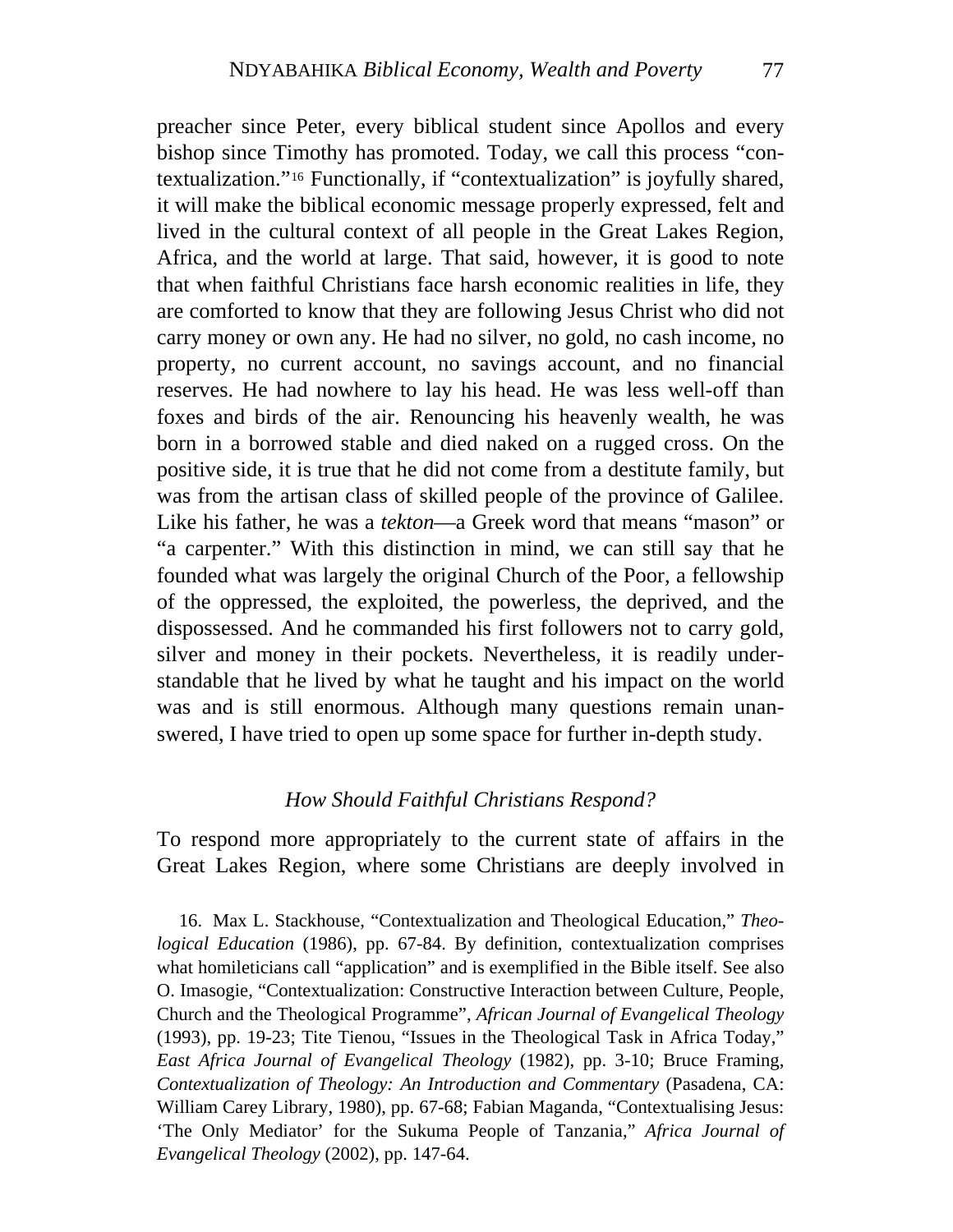preacher since Peter, every biblical student since Apollos and every bishop since Timothy has promoted. Today, we call this process "contextualization."[16](#page-13-0) Functionally, if "contextualization" is joyfully shared, it will make the biblical economic message properly expressed, felt and lived in the cultural context of all people in the Great Lakes Region, Africa, and the world at large. That said, however, it is good to note that when faithful Christians face harsh economic realities in life, they are comforted to know that they are following Jesus Christ who did not carry money or own any. He had no silver, no gold, no cash income, no property, no current account, no savings account, and no financial reserves. He had nowhere to lay his head. He was less well-off than foxes and birds of the air. Renouncing his heavenly wealth, he was born in a borrowed stable and died naked on a rugged cross. On the positive side, it is true that he did not come from a destitute family, but was from the artisan class of skilled people of the province of Galilee. Like his father, he was a *tekton*—a Greek word that means "mason" or "a carpenter." With this distinction in mind, we can still say that he founded what was largely the original Church of the Poor, a fellowship of the oppressed, the exploited, the powerless, the deprived, and the dispossessed. And he commanded his first followers not to carry gold, silver and money in their pockets. Nevertheless, it is readily understandable that he lived by what he taught and his impact on the world was and is still enormous. Although many questions remain unanswered, I have tried to open up some space for further in-depth study.

#### *How Should Faithful Christians Respond?*

To respond more appropriately to the current state of affairs in the Great Lakes Region, where some Christians are deeply involved in

<span id="page-13-0"></span>16. Max L. Stackhouse, "Contextualization and Theological Education," *Theological Education* (1986), pp. 67-84. By definition, contextualization comprises what homileticians call "application" and is exemplified in the Bible itself. See also O. Imasogie, "Contextualization: Constructive Interaction between Culture, People, Church and the Theological Programme", *African Journal of Evangelical Theology* (1993), pp. 19-23; Tite Tienou, "Issues in the Theological Task in Africa Today," *East Africa Journal of Evangelical Theology* (1982), pp. 3-10; Bruce Framing, *Contextualization of Theology: An Introduction and Commentary* (Pasadena, CA: William Carey Library, 1980), pp. 67-68; Fabian Maganda, "Contextualising Jesus: 'The Only Mediator' for the Sukuma People of Tanzania," *Africa Journal of Evangelical Theology* (2002), pp. 147-64.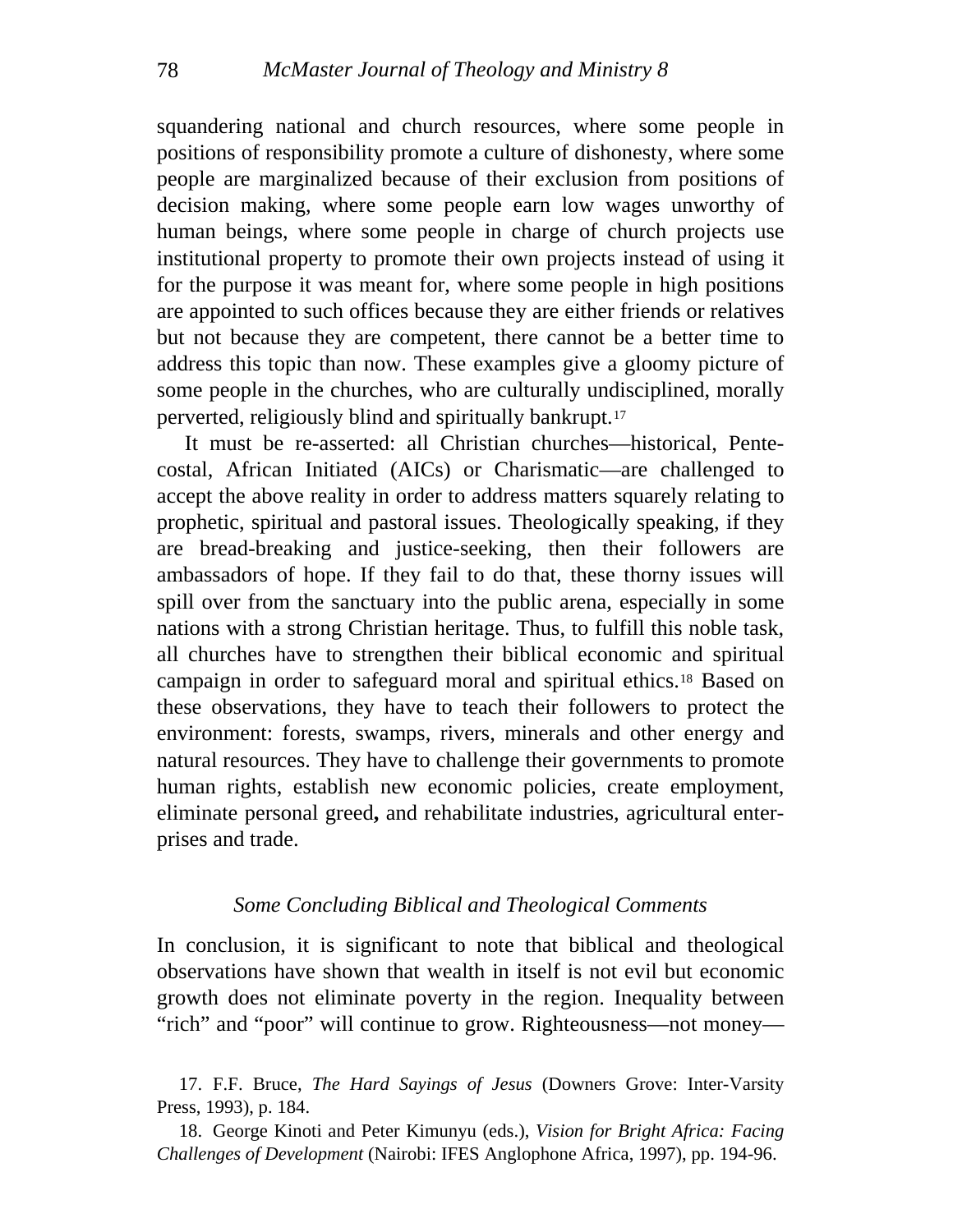squandering national and church resources, where some people in positions of responsibility promote a culture of dishonesty, where some people are marginalized because of their exclusion from positions of decision making, where some people earn low wages unworthy of human beings, where some people in charge of church projects use institutional property to promote their own projects instead of using it for the purpose it was meant for, where some people in high positions are appointed to such offices because they are either friends or relatives but not because they are competent, there cannot be a better time to address this topic than now. These examples give a gloomy picture of some people in the churches, who are culturally undisciplined, morally perverted, religiously blind and spiritually bankrupt.[17](#page-14-0)

[costal, African Initiated \(AICs\) or Charismatic—ar](#page-14-0)e challenged to acc ept the above reality in order to address matters squarely relating to [It must be re-asserted: all Christian churches—historical, Pente](#page-14-0)prophetic, spiritual and pastoral issues. Theologically speaking, if they are bread-breaking and justice-seeking, then their followers are ambassadors of hope. If they fail to do that, these thorny issues will spill over from the sanctuary into the public arena, especially in some nations with a strong Christian heritage. Thus, to fulfill this noble task, all churches have to strengthen their biblical economic and spiritual campaign in order to safeguard moral and spiritual ethics.[18](#page-14-1) Based on these observations, they have to teach their followers to protect the environment: forests, swamps, rivers, minerals and other energy and natural resources. They have to challenge their governments to promote human rights, establish new economic policies, create employment, eliminate personal greed**,** and rehabilitate industries, agricultural enterprises and trade.

## Some Concluding Biblical and Theological Comments

In conclusion, it is significant to note that biblical and theological observations have shown that wealth in itself is not evil but economic growth does not eliminate poverty in the region. Inequality between "rich" and "poor" will continue to grow. Righteousness—not money—

<span id="page-14-0"></span><sup>17.</sup> F.F. Bruce, *The Hard Sayings of Jesus* (Downers Grove: Inter-Varsity Press, 1993), p. 184.

<span id="page-14-1"></span><sup>18.</sup> George Kinoti and Peter Kimunyu (eds.), *Vision for Bright Africa: Facing Challenges of Development* (Nairobi: IFES Anglophone Africa, 1997), pp. 194-96.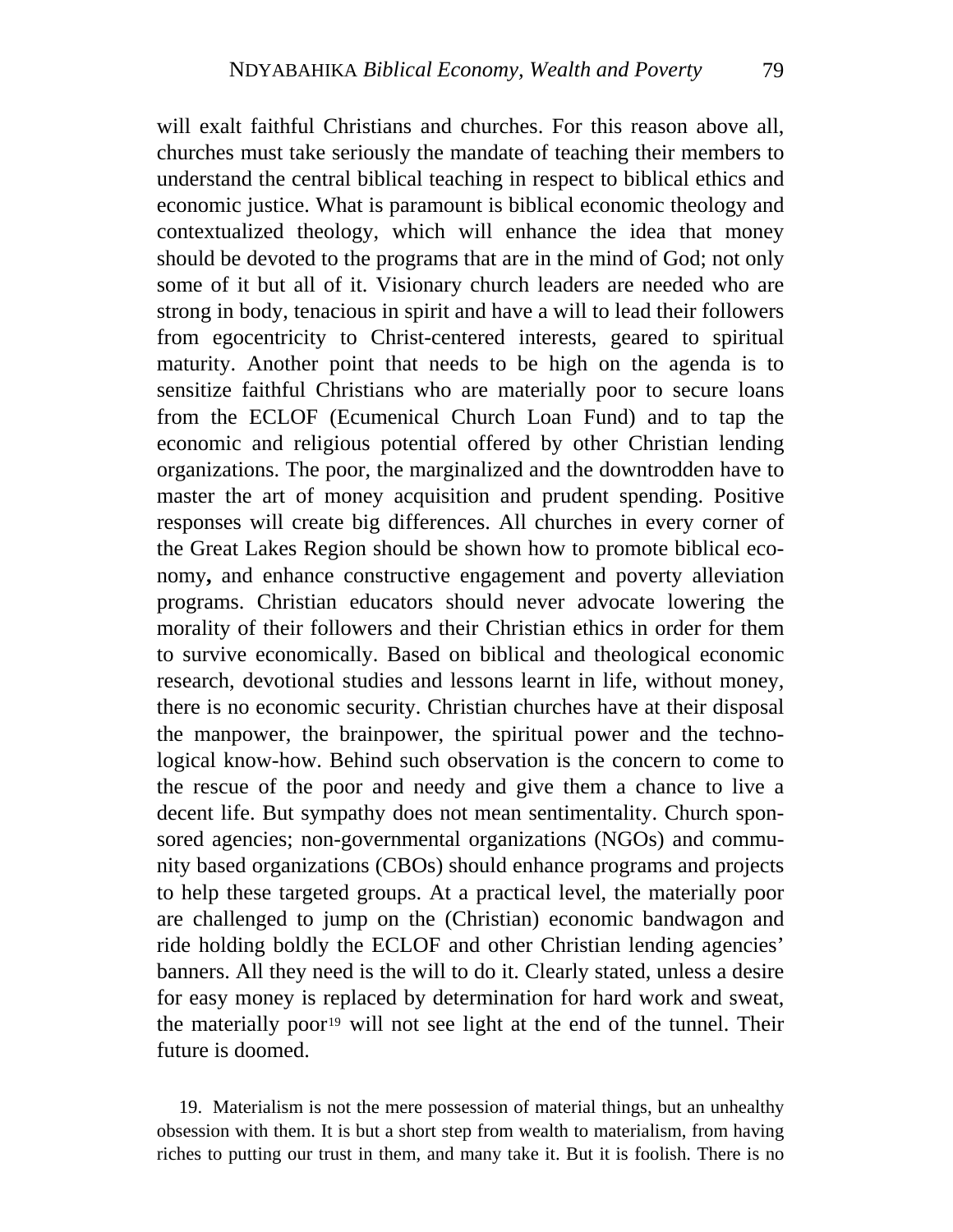will exalt faithful Christians and churches. For this reason above all, churches must take seriously the mandate of teaching their members to understand the central biblical teaching in respect to biblical ethics and economic justice. What is paramount is biblical economic theology and contextualized theology, which will enhance the idea that money should be devoted to the programs that are in the mind of God; not only some of it but all of it. Visionary church leaders are needed who are strong in body, tenacious in spirit and have a will to lead their followers from egocentricity to Christ-centered interests, geared to spiritual maturity. Another point that needs to be high on the agenda is to sensitize faithful Christians who are materially poor to secure loans from the ECLOF (Ecumenical Church Loan Fund) and to tap the economic and religious potential offered by other Christian lending organizations. The poor, the marginalized and the downtrodden have to master the art of money acquisition and prudent spending. Positive responses will create big differences. All churches in every corner of the Great Lakes Region should be shown how to promote biblical economy**,** and enhance constructive engagement and poverty alleviation programs. Christian educators should never advocate lowering the morality of their followers and their Christian ethics in order for them to survive economically. Based on biblical and theological economic research, devotional studies and lessons learnt in life, without money, there is no economic security. Christian churches have at their disposal the manpower, the brainpower, the spiritual power and the technological know-how. Behind such observation is the concern to come to the rescue of the poor and needy and give them a chance to live a decent life. But sympathy does not mean sentimentality. Church sponsored agencies; non-governmental organizations (NGOs) and community based organizations (CBOs) should enhance programs and projects to help these targeted groups. At a practical level, the materially poor are challenged to jump on the (Christian) economic bandwagon and ride holding boldly the ECLOF and other Christian lending agencies' banners. All they need is the will to do it. Clearly stated, unless a desire for easy money is replaced by determination for hard work and sweat, the materially poor<sup>[19](#page-15-0)</sup> will not see light at the end of the tunnel. Their future is doomed.

<span id="page-15-0"></span>19. Materialism is not the mere possession of material things, but an unhealthy obsession with them. It is but a short step from wealth to materialism, from having riches to putting our trust in them, and many take it. But it is foolish. There is no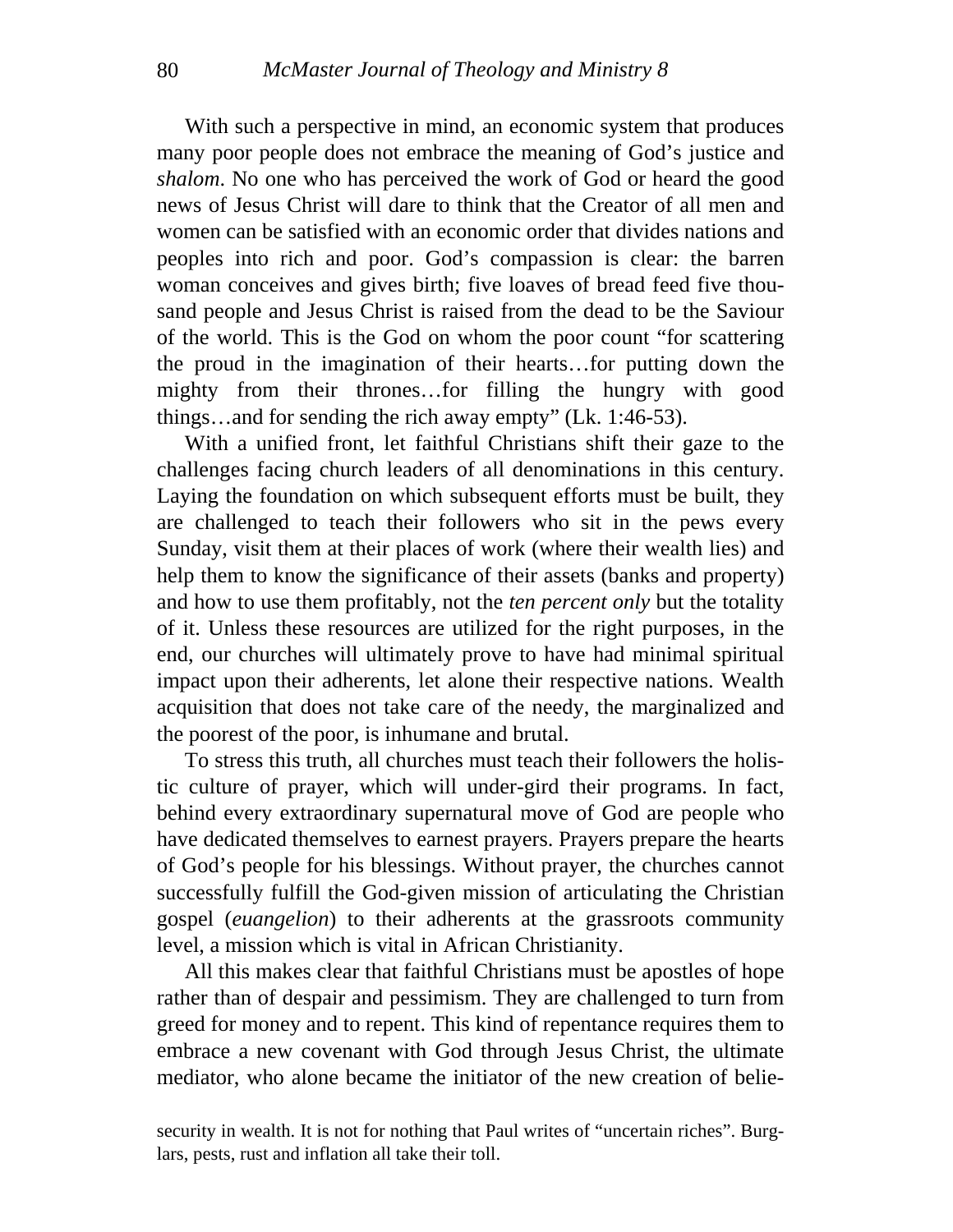many poor people does not embrace the meaning of God's justice and *sha lom*. No one who has perceived the work of God or heard the good With such a perspective in mind, an economic system that produces news of Jesus Christ will dare to think that the Creator of all men and women can be satisfied with an economic order that divides nations and peoples into rich and poor. God's compassion is clear: the barren woman conceives and gives birth; five loaves of bread feed five thousand people and Jesus Christ is raised from the dead to be the Saviour of the world. This is the God on whom the poor count "for scattering the proud in the imagination of their hearts…for putting down the mighty from their thrones…for filling the hungry with good things…and for sending the rich away empty" (Lk. 1:46-53).

challenges facing church leaders of all denominations in this century. La ying the foundation on which subsequent efforts must be built, they With a unified front, let faithful Christians shift their gaze to the are challenged to teach their followers who sit in the pews every Sunday, visit them at their places of work (where their wealth lies) and help them to know the significance of their assets (banks and property) and how to use them profitably, not the *ten percent only* but the totality of it. Unless these resources are utilized for the right purposes, in the end, our churches will ultimately prove to have had minimal spiritual impact upon their adherents, let alone their respective nations. Wealth acquisition that does not take care of the needy, the marginalized and the poorest of the poor, is inhumane and brutal.

tic culture of prayer, which will under-gird their programs. In fact, beh ind every extraordinary supernatural move of God are people who To stress this truth, all churches must teach their followers the holishave dedicated themselves to earnest prayers. Prayers prepare the hearts of God's people for his blessings. Without prayer, the churches cannot successfully fulfill the God-given mission of articulating the Christian gospel (*euangelion*) to their adherents at the grassroots community level, a mission which is vital in African Christianity.

rather than of despair and pessimism. They are challenged to turn from greed for money and to repent. This kind of repentance requires them to em brace a new covenant with God through Jesus Christ, the ultimate All this makes clear that faithful Christians must be apostles of hope mediator, who alone became the initiator of the new creation of belie-

security in wealth. It is not for nothing that Paul writes of "uncertain riches". Burglars, pests, rust and inflation all take their toll.